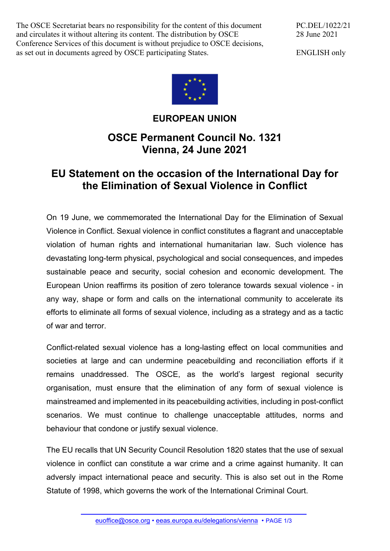The OSCE Secretariat bears no responsibility for the content of this document and circulates it without altering its content. The distribution by OSCE Conference Services of this document is without prejudice to OSCE decisions, as set out in documents agreed by OSCE participating States.

PC.DEL/1022/21 28 June 2021

ENGLISH only



## **EUROPEAN UNION**

## **OSCE Permanent Council No. 1321 Vienna, 24 June 2021**

## **EU Statement on the occasion of the International Day for the Elimination of Sexual Violence in Conflict**

On 19 June, we commemorated the International Day for the Elimination of Sexual Violence in Conflict. Sexual violence in conflict constitutes a flagrant and unacceptable violation of human rights and international humanitarian law. Such violence has devastating long-term physical, psychological and social consequences, and impedes sustainable peace and security, social cohesion and economic development. The European Union reaffirms its position of zero tolerance towards sexual violence - in any way, shape or form and calls on the international community to accelerate its efforts to eliminate all forms of sexual violence, including as a strategy and as a tactic of war and terror.

Conflict-related sexual violence has a long-lasting effect on local communities and societies at large and can undermine peacebuilding and reconciliation efforts if it remains unaddressed. The OSCE, as the world's largest regional security organisation, must ensure that the elimination of any form of sexual violence is mainstreamed and implemented in its peacebuilding activities, including in post-conflict scenarios. We must continue to challenge unacceptable attitudes, norms and behaviour that condone or justify sexual violence.

The EU recalls that UN Security Council Resolution 1820 states that the use of sexual violence in conflict can constitute a war crime and a crime against humanity. It can adversly impact international peace and security. This is also set out in the Rome Statute of 1998, which governs the work of the International Criminal Court.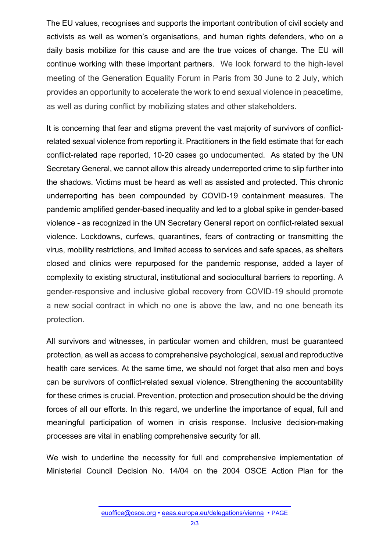The EU values, recognises and supports the important contribution of civil society and activists as well as women's organisations, and human rights defenders, who on a daily basis mobilize for this cause and are the true voices of change. The EU will continue working with these important partners. We look forward to the high-level meeting of the Generation Equality Forum in Paris from 30 June to 2 July, which provides an opportunity to accelerate the work to end sexual violence in peacetime, as well as during conflict by mobilizing states and other stakeholders.

It is concerning that fear and stigma prevent the vast majority of survivors of conflictrelated sexual violence from reporting it. Practitioners in the field estimate that for each conflict-related rape reported, 10-20 cases go undocumented. As stated by the UN Secretary General, we cannot allow this already underreported crime to slip further into the shadows. Victims must be heard as well as assisted and protected. This chronic underreporting has been compounded by COVID-19 containment measures. The pandemic amplified gender-based inequality and led to a global spike in gender-based violence - as recognized in the UN Secretary General report on conflict-related sexual violence. Lockdowns, curfews, quarantines, fears of contracting or transmitting the virus, mobility restrictions, and limited access to services and safe spaces, as shelters closed and clinics were repurposed for the pandemic response, added a layer of complexity to existing structural, institutional and sociocultural barriers to reporting. A gender-responsive and inclusive global recovery from COVID-19 should promote a new social contract in which no one is above the law, and no one beneath its protection.

All survivors and witnesses, in particular women and children, must be guaranteed protection, as well as access to comprehensive psychological, sexual and reproductive health care services. At the same time, we should not forget that also men and boys can be survivors of conflict-related sexual violence. Strengthening the accountability for these crimes is crucial. Prevention, protection and prosecution should be the driving forces of all our efforts. In this regard, we underline the importance of equal, full and meaningful participation of women in crisis response. Inclusive decision-making processes are vital in enabling comprehensive security for all.

We wish to underline the necessity for full and comprehensive implementation of Ministerial Council Decision No. 14/04 on the 2004 OSCE Action Plan for the